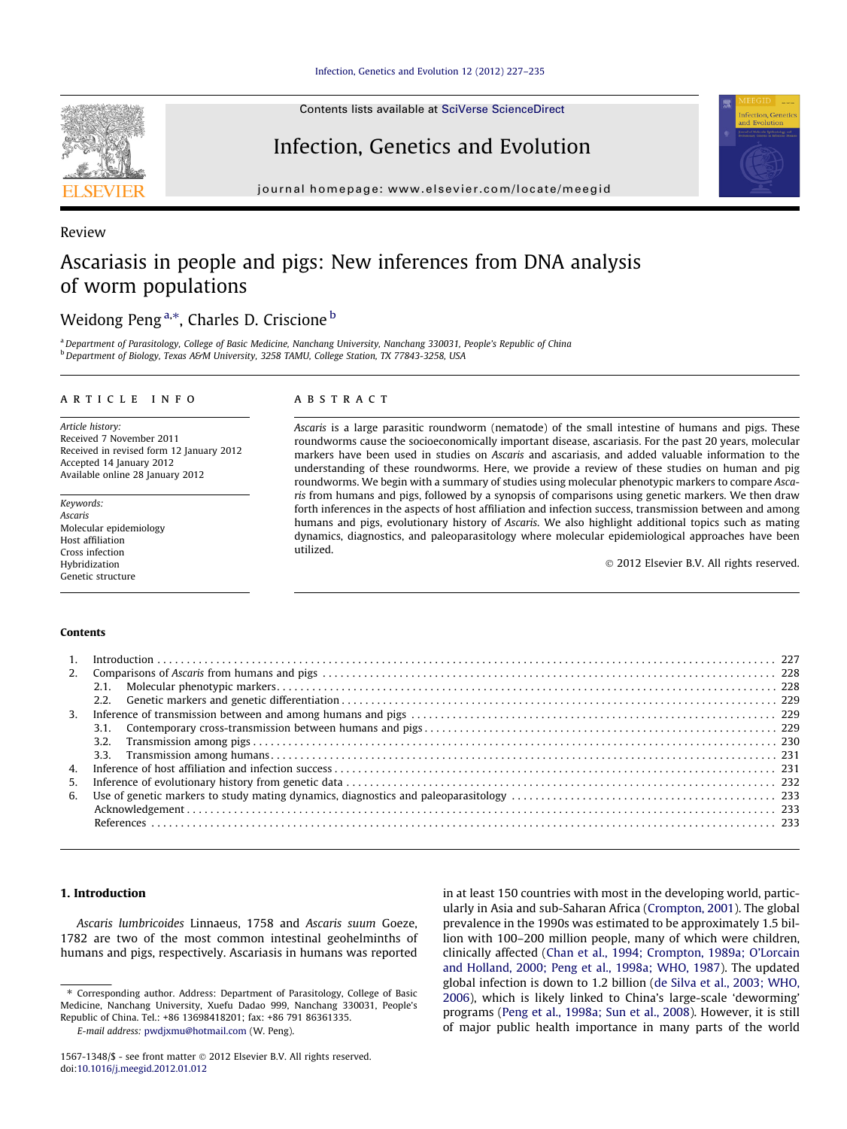Review

Contents lists available at [SciVerse ScienceDirect](http://www.sciencedirect.com/science/journal/15671348)

## Infection, Genetics and Evolution

journal homepage: [www.elsevier.com/locate/meegid](http://www.elsevier.com/locate/meegid)

# Ascariasis in people and pigs: New inferences from DNA analysis of worm populations

### Weidong Peng<sup>a,\*</sup>, Charles D. Criscione <sup>b</sup>

<sup>a</sup> Department of Parasitology, College of Basic Medicine, Nanchang University, Nanchang 330031, People's Republic of China <sup>b</sup> Department of Biology, Texas A&M University, 3258 TAMU, College Station, TX 77843-3258, USA

#### article info

Article history: Received 7 November 2011 Received in revised form 12 January 2012 Accepted 14 January 2012 Available online 28 January 2012

Keywords: Ascaris Molecular epidemiology Host affiliation Cross infection Hybridization Genetic structure

#### **ABSTRACT**

Ascaris is a large parasitic roundworm (nematode) of the small intestine of humans and pigs. These roundworms cause the socioeconomically important disease, ascariasis. For the past 20 years, molecular markers have been used in studies on Ascaris and ascariasis, and added valuable information to the understanding of these roundworms. Here, we provide a review of these studies on human and pig roundworms. We begin with a summary of studies using molecular phenotypic markers to compare Ascaris from humans and pigs, followed by a synopsis of comparisons using genetic markers. We then draw forth inferences in the aspects of host affiliation and infection success, transmission between and among humans and pigs, evolutionary history of Ascaris. We also highlight additional topics such as mating dynamics, diagnostics, and paleoparasitology where molecular epidemiological approaches have been utilized.

- 2012 Elsevier B.V. All rights reserved.

#### Contents

|    | 3.2. |  |
|----|------|--|
|    |      |  |
|    |      |  |
| 5. |      |  |
| 6. |      |  |
|    |      |  |
|    |      |  |
|    |      |  |

### 1. Introduction

Ascaris lumbricoides Linnaeus, 1758 and Ascaris suum Goeze, 1782 are two of the most common intestinal geohelminths of humans and pigs, respectively. Ascariasis in humans was reported

⇑ Corresponding author. Address: Department of Parasitology, College of Basic Medicine, Nanchang University, Xuefu Dadao 999, Nanchang 330031, People's Republic of China. Tel.: +86 13698418201; fax: +86 791 86361335.

E-mail address: [pwdjxmu@hotmail.com](mailto:pwdjxmu@hotmail.com) (W. Peng).

in at least 150 countries with most in the developing world, particularly in Asia and sub-Saharan Africa ([Crompton, 2001\)](#page-7-0). The global prevalence in the 1990s was estimated to be approximately 1.5 billion with 100–200 million people, many of which were children, clinically affected [\(Chan et al., 1994; Crompton, 1989a; O'Lorcain](#page-7-0) [and Holland, 2000; Peng et al., 1998a; WHO, 1987\)](#page-7-0). The updated global infection is down to 1.2 billion [\(de Silva et al., 2003; WHO,](#page-7-0) [2006](#page-7-0)), which is likely linked to China's large-scale 'deworming' programs [\(Peng et al., 1998a; Sun et al., 2008](#page-8-0)). However, it is still of major public health importance in many parts of the world

<sup>1567-1348/\$ -</sup> see front matter @ 2012 Elsevier B.V. All rights reserved. doi[:10.1016/j.meegid.2012.01.012](http://dx.doi.org/10.1016/j.meegid.2012.01.012)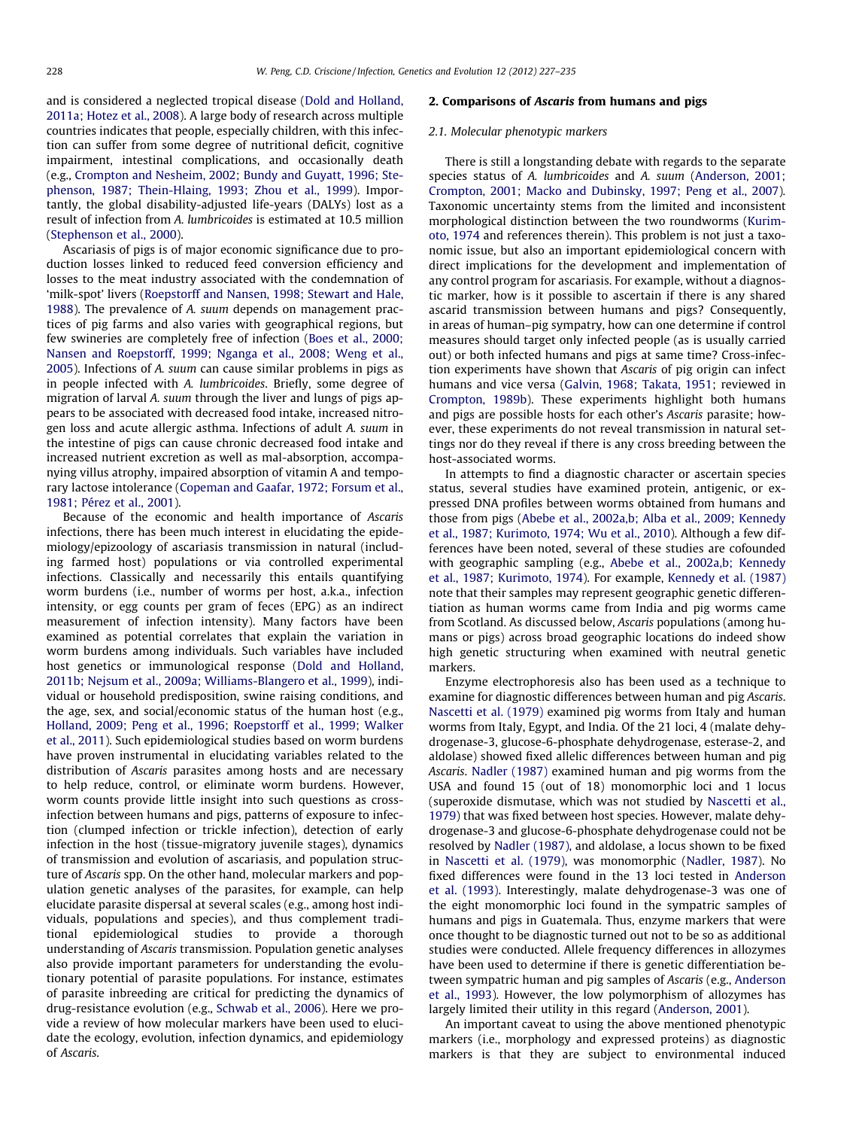and is considered a neglected tropical disease ([Dold and Holland,](#page-7-0) [2011a; Hotez et al., 2008](#page-7-0)). A large body of research across multiple countries indicates that people, especially children, with this infection can suffer from some degree of nutritional deficit, cognitive impairment, intestinal complications, and occasionally death (e.g., [Crompton and Nesheim, 2002; Bundy and Guyatt, 1996; Ste](#page-7-0)[phenson, 1987; Thein-Hlaing, 1993; Zhou et al., 1999](#page-7-0)). Importantly, the global disability-adjusted life-years (DALYs) lost as a result of infection from A. lumbricoides is estimated at 10.5 million ([Stephenson et al., 2000](#page-8-0)).

Ascariasis of pigs is of major economic significance due to production losses linked to reduced feed conversion efficiency and losses to the meat industry associated with the condemnation of 'milk-spot' livers ([Roepstorff and Nansen, 1998; Stewart and Hale,](#page-8-0) [1988\)](#page-8-0). The prevalence of A. suum depends on management practices of pig farms and also varies with geographical regions, but few swineries are completely free of infection [\(Boes et al., 2000;](#page-7-0) [Nansen and Roepstorff, 1999; Nganga et al., 2008; Weng et al.,](#page-7-0) [2005\)](#page-7-0). Infections of A. suum can cause similar problems in pigs as in people infected with A. lumbricoides. Briefly, some degree of migration of larval A. suum through the liver and lungs of pigs appears to be associated with decreased food intake, increased nitrogen loss and acute allergic asthma. Infections of adult A. suum in the intestine of pigs can cause chronic decreased food intake and increased nutrient excretion as well as mal-absorption, accompanying villus atrophy, impaired absorption of vitamin A and temporary lactose intolerance [\(Copeman and Gaafar, 1972; Forsum et al.,](#page-7-0) [1981; Pérez et al., 2001\)](#page-7-0).

Because of the economic and health importance of Ascaris infections, there has been much interest in elucidating the epidemiology/epizoology of ascariasis transmission in natural (including farmed host) populations or via controlled experimental infections. Classically and necessarily this entails quantifying worm burdens (i.e., number of worms per host, a.k.a., infection intensity, or egg counts per gram of feces (EPG) as an indirect measurement of infection intensity). Many factors have been examined as potential correlates that explain the variation in worm burdens among individuals. Such variables have included host genetics or immunological response [\(Dold and Holland,](#page-7-0) [2011b; Nejsum et al., 2009a; Williams-Blangero et al., 1999\)](#page-7-0), individual or household predisposition, swine raising conditions, and the age, sex, and social/economic status of the human host (e.g., [Holland, 2009; Peng et al., 1996; Roepstorff et al., 1999; Walker](#page-7-0) [et al., 2011\)](#page-7-0). Such epidemiological studies based on worm burdens have proven instrumental in elucidating variables related to the distribution of Ascaris parasites among hosts and are necessary to help reduce, control, or eliminate worm burdens. However, worm counts provide little insight into such questions as crossinfection between humans and pigs, patterns of exposure to infection (clumped infection or trickle infection), detection of early infection in the host (tissue-migratory juvenile stages), dynamics of transmission and evolution of ascariasis, and population structure of Ascaris spp. On the other hand, molecular markers and population genetic analyses of the parasites, for example, can help elucidate parasite dispersal at several scales (e.g., among host individuals, populations and species), and thus complement traditional epidemiological studies to provide a thorough understanding of Ascaris transmission. Population genetic analyses also provide important parameters for understanding the evolutionary potential of parasite populations. For instance, estimates of parasite inbreeding are critical for predicting the dynamics of drug-resistance evolution (e.g., [Schwab et al., 2006\)](#page-8-0). Here we provide a review of how molecular markers have been used to elucidate the ecology, evolution, infection dynamics, and epidemiology of Ascaris.

#### 2. Comparisons of Ascaris from humans and pigs

#### 2.1. Molecular phenotypic markers

There is still a longstanding debate with regards to the separate species status of A. lumbricoides and A. suum ([Anderson, 2001;](#page-6-0) [Crompton, 2001; Macko and Dubinsky, 1997; Peng et al., 2007\)](#page-6-0). Taxonomic uncertainty stems from the limited and inconsistent morphological distinction between the two roundworms ([Kurim](#page-7-0)[oto, 1974](#page-7-0) and references therein). This problem is not just a taxonomic issue, but also an important epidemiological concern with direct implications for the development and implementation of any control program for ascariasis. For example, without a diagnostic marker, how is it possible to ascertain if there is any shared ascarid transmission between humans and pigs? Consequently, in areas of human–pig sympatry, how can one determine if control measures should target only infected people (as is usually carried out) or both infected humans and pigs at same time? Cross-infection experiments have shown that Ascaris of pig origin can infect humans and vice versa [\(Galvin, 1968; Takata, 1951](#page-7-0); reviewed in [Crompton, 1989b\)](#page-7-0). These experiments highlight both humans and pigs are possible hosts for each other's Ascaris parasite; however, these experiments do not reveal transmission in natural settings nor do they reveal if there is any cross breeding between the host-associated worms.

In attempts to find a diagnostic character or ascertain species status, several studies have examined protein, antigenic, or expressed DNA profiles between worms obtained from humans and those from pigs [\(Abebe et al., 2002a,b; Alba et al., 2009; Kennedy](#page-6-0) [et al., 1987; Kurimoto, 1974; Wu et al., 2010](#page-6-0)). Although a few differences have been noted, several of these studies are cofounded with geographic sampling (e.g., [Abebe et al., 2002a,b; Kennedy](#page-6-0) [et al., 1987; Kurimoto, 1974](#page-6-0)). For example, [Kennedy et al. \(1987\)](#page-7-0) note that their samples may represent geographic genetic differentiation as human worms came from India and pig worms came from Scotland. As discussed below, Ascaris populations (among humans or pigs) across broad geographic locations do indeed show high genetic structuring when examined with neutral genetic markers.

Enzyme electrophoresis also has been used as a technique to examine for diagnostic differences between human and pig Ascaris. [Nascetti et al. \(1979\)](#page-7-0) examined pig worms from Italy and human worms from Italy, Egypt, and India. Of the 21 loci, 4 (malate dehydrogenase-3, glucose-6-phosphate dehydrogenase, esterase-2, and aldolase) showed fixed allelic differences between human and pig Ascaris. [Nadler \(1987\)](#page-7-0) examined human and pig worms from the USA and found 15 (out of 18) monomorphic loci and 1 locus (superoxide dismutase, which was not studied by [Nascetti et al.,](#page-7-0) [1979\)](#page-7-0) that was fixed between host species. However, malate dehydrogenase-3 and glucose-6-phosphate dehydrogenase could not be resolved by [Nadler \(1987\)](#page-7-0), and aldolase, a locus shown to be fixed in [Nascetti et al. \(1979\)](#page-7-0), was monomorphic ([Nadler, 1987](#page-7-0)). No fixed differences were found in the 13 loci tested in [Anderson](#page-6-0) [et al. \(1993\).](#page-6-0) Interestingly, malate dehydrogenase-3 was one of the eight monomorphic loci found in the sympatric samples of humans and pigs in Guatemala. Thus, enzyme markers that were once thought to be diagnostic turned out not to be so as additional studies were conducted. Allele frequency differences in allozymes have been used to determine if there is genetic differentiation between sympatric human and pig samples of Ascaris (e.g., [Anderson](#page-6-0) [et al., 1993](#page-6-0)). However, the low polymorphism of allozymes has largely limited their utility in this regard [\(Anderson, 2001](#page-6-0)).

An important caveat to using the above mentioned phenotypic markers (i.e., morphology and expressed proteins) as diagnostic markers is that they are subject to environmental induced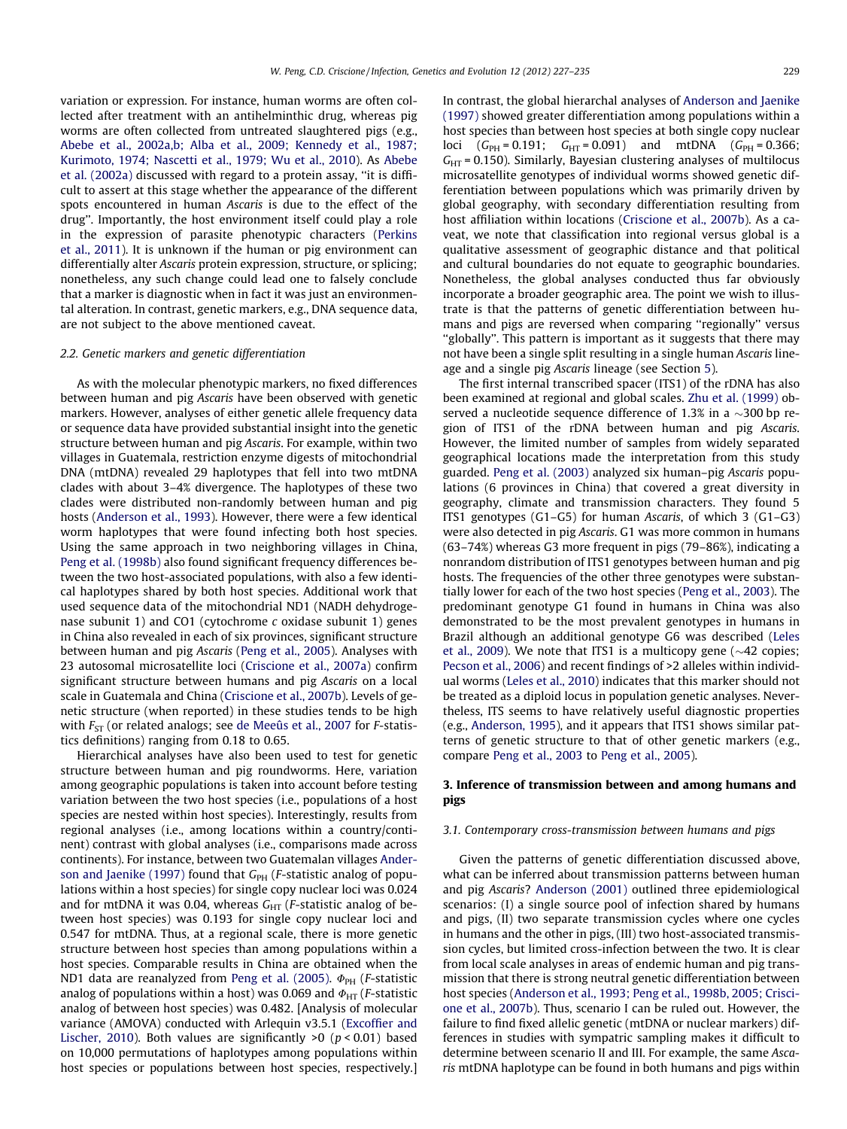variation or expression. For instance, human worms are often collected after treatment with an antihelminthic drug, whereas pig worms are often collected from untreated slaughtered pigs (e.g., [Abebe et al., 2002a,b; Alba et al., 2009; Kennedy et al., 1987;](#page-6-0) [Kurimoto, 1974; Nascetti et al., 1979; Wu et al., 2010](#page-6-0)). As [Abebe](#page-6-0) [et al. \(2002a\)](#page-6-0) discussed with regard to a protein assay, ''it is difficult to assert at this stage whether the appearance of the different spots encountered in human Ascaris is due to the effect of the drug''. Importantly, the host environment itself could play a role in the expression of parasite phenotypic characters ([Perkins](#page-8-0) [et al., 2011](#page-8-0)). It is unknown if the human or pig environment can differentially alter Ascaris protein expression, structure, or splicing; nonetheless, any such change could lead one to falsely conclude that a marker is diagnostic when in fact it was just an environmental alteration. In contrast, genetic markers, e.g., DNA sequence data, are not subject to the above mentioned caveat.

#### 2.2. Genetic markers and genetic differentiation

As with the molecular phenotypic markers, no fixed differences between human and pig Ascaris have been observed with genetic markers. However, analyses of either genetic allele frequency data or sequence data have provided substantial insight into the genetic structure between human and pig Ascaris. For example, within two villages in Guatemala, restriction enzyme digests of mitochondrial DNA (mtDNA) revealed 29 haplotypes that fell into two mtDNA clades with about 3–4% divergence. The haplotypes of these two clades were distributed non-randomly between human and pig hosts ([Anderson et al., 1993](#page-6-0)). However, there were a few identical worm haplotypes that were found infecting both host species. Using the same approach in two neighboring villages in China, [Peng et al. \(1998b\)](#page-8-0) also found significant frequency differences between the two host-associated populations, with also a few identical haplotypes shared by both host species. Additional work that used sequence data of the mitochondrial ND1 (NADH dehydrogenase subunit 1) and CO1 (cytochrome c oxidase subunit 1) genes in China also revealed in each of six provinces, significant structure between human and pig Ascaris [\(Peng et al., 2005\)](#page-8-0). Analyses with 23 autosomal microsatellite loci ([Criscione et al., 2007a\)](#page-7-0) confirm significant structure between humans and pig Ascaris on a local scale in Guatemala and China [\(Criscione et al., 2007b](#page-7-0)). Levels of genetic structure (when reported) in these studies tends to be high with  $F_{ST}$  (or related analogs; see [de Meeûs et al., 2007](#page-7-0) for *F*-statistics definitions) ranging from 0.18 to 0.65.

Hierarchical analyses have also been used to test for genetic structure between human and pig roundworms. Here, variation among geographic populations is taken into account before testing variation between the two host species (i.e., populations of a host species are nested within host species). Interestingly, results from regional analyses (i.e., among locations within a country/continent) contrast with global analyses (i.e., comparisons made across continents). For instance, between two Guatemalan villages [Ander](#page-6-0)[son and Jaenike \(1997\)](#page-6-0) found that  $G_{PH}$  (*F*-statistic analog of populations within a host species) for single copy nuclear loci was 0.024 and for mtDNA it was 0.04, whereas  $G_{HT}$  (*F*-statistic analog of between host species) was 0.193 for single copy nuclear loci and 0.547 for mtDNA. Thus, at a regional scale, there is more genetic structure between host species than among populations within a host species. Comparable results in China are obtained when the ND1 data are reanalyzed from [Peng et al. \(2005\).](#page-8-0)  $\Phi_{PH}$  (*F*-statistic analog of populations within a host) was 0.069 and  $\Phi_{\text{HT}}$  (*F*-statistic analog of between host species) was 0.482. [Analysis of molecular variance (AMOVA) conducted with Arlequin v3.5.1 [\(Excoffier and](#page-7-0) [Lischer, 2010](#page-7-0)). Both values are significantly  $>0$  ( $p < 0.01$ ) based on 10,000 permutations of haplotypes among populations within host species or populations between host species, respectively.] In contrast, the global hierarchal analyses of [Anderson and Jaenike](#page-6-0) [\(1997\)](#page-6-0) showed greater differentiation among populations within a host species than between host species at both single copy nuclear loci  $(G_{PH} = 0.191; G_{HT} = 0.091)$  and mtDNA  $(G_{PH} = 0.366;$  $G_{\text{HT}}$  = 0.150). Similarly, Bayesian clustering analyses of multilocus microsatellite genotypes of individual worms showed genetic differentiation between populations which was primarily driven by global geography, with secondary differentiation resulting from host affiliation within locations [\(Criscione et al., 2007b\)](#page-7-0). As a caveat, we note that classification into regional versus global is a qualitative assessment of geographic distance and that political and cultural boundaries do not equate to geographic boundaries. Nonetheless, the global analyses conducted thus far obviously incorporate a broader geographic area. The point we wish to illustrate is that the patterns of genetic differentiation between humans and pigs are reversed when comparing "regionally" versus ''globally''. This pattern is important as it suggests that there may not have been a single split resulting in a single human Ascaris lineage and a single pig Ascaris lineage (see Section [5](#page-5-0)).

The first internal transcribed spacer (ITS1) of the rDNA has also been examined at regional and global scales. [Zhu et al. \(1999\)](#page-8-0) observed a nucleotide sequence difference of 1.3% in a  $\sim$ 300 bp region of ITS1 of the rDNA between human and pig Ascaris. However, the limited number of samples from widely separated geographical locations made the interpretation from this study guarded. [Peng et al. \(2003\)](#page-8-0) analyzed six human–pig Ascaris populations (6 provinces in China) that covered a great diversity in geography, climate and transmission characters. They found 5 ITS1 genotypes (G1–G5) for human Ascaris, of which 3 (G1–G3) were also detected in pig Ascaris. G1 was more common in humans (63–74%) whereas G3 more frequent in pigs (79–86%), indicating a nonrandom distribution of ITS1 genotypes between human and pig hosts. The frequencies of the other three genotypes were substantially lower for each of the two host species [\(Peng et al., 2003\)](#page-8-0). The predominant genotype G1 found in humans in China was also demonstrated to be the most prevalent genotypes in humans in Brazil although an additional genotype G6 was described ([Leles](#page-7-0) [et al., 2009](#page-7-0)). We note that ITS1 is a multicopy gene ( $\sim$ 42 copies; [Pecson et al., 2006](#page-7-0)) and recent findings of >2 alleles within individual worms ([Leles et al., 2010](#page-7-0)) indicates that this marker should not be treated as a diploid locus in population genetic analyses. Nevertheless, ITS seems to have relatively useful diagnostic properties (e.g., [Anderson, 1995](#page-6-0)), and it appears that ITS1 shows similar patterns of genetic structure to that of other genetic markers (e.g., compare [Peng et al., 2003](#page-8-0) to [Peng et al., 2005\)](#page-8-0).

#### 3. Inference of transmission between and among humans and pigs

#### 3.1. Contemporary cross-transmission between humans and pigs

Given the patterns of genetic differentiation discussed above, what can be inferred about transmission patterns between human and pig Ascaris? [Anderson \(2001\)](#page-6-0) outlined three epidemiological scenarios: (I) a single source pool of infection shared by humans and pigs, (II) two separate transmission cycles where one cycles in humans and the other in pigs, (III) two host-associated transmission cycles, but limited cross-infection between the two. It is clear from local scale analyses in areas of endemic human and pig transmission that there is strong neutral genetic differentiation between host species ([Anderson et al., 1993; Peng et al., 1998b, 2005; Crisci](#page-6-0)[one et al., 2007b\)](#page-6-0). Thus, scenario I can be ruled out. However, the failure to find fixed allelic genetic (mtDNA or nuclear markers) differences in studies with sympatric sampling makes it difficult to determine between scenario II and III. For example, the same Ascaris mtDNA haplotype can be found in both humans and pigs within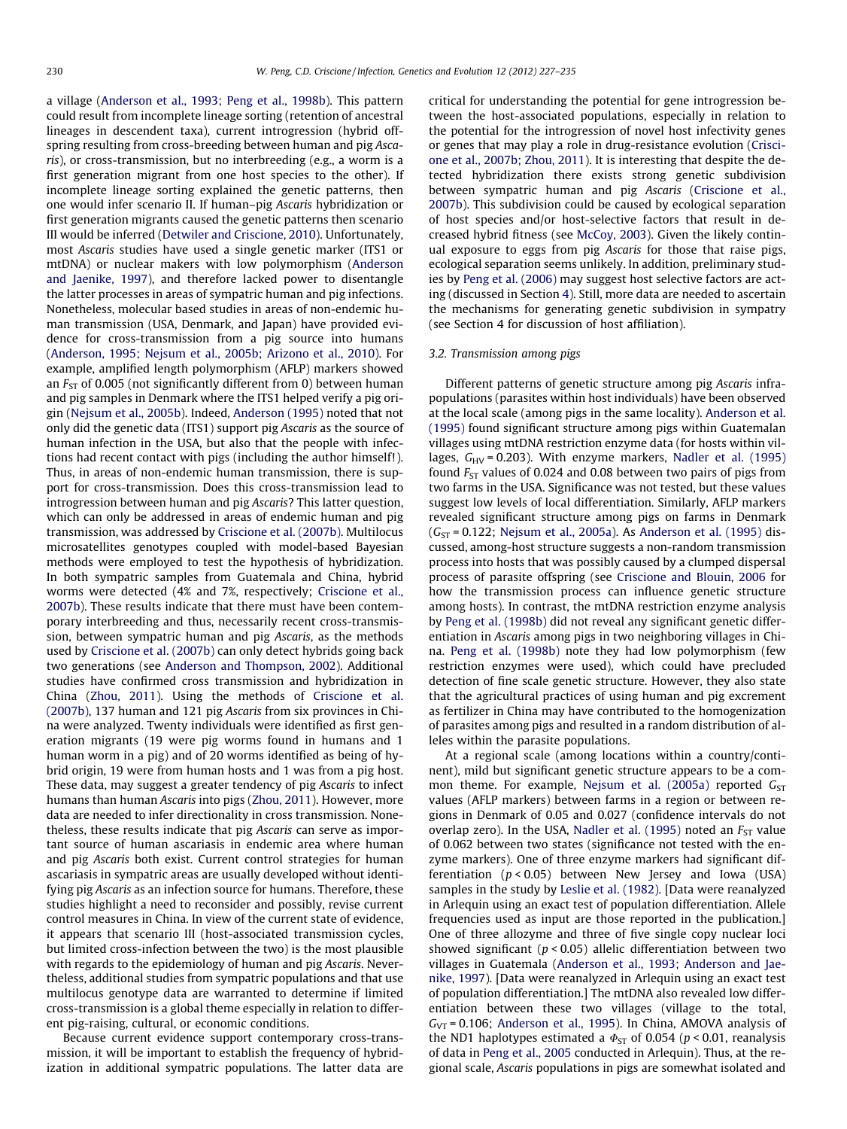a village [\(Anderson et al., 1993; Peng et al., 1998b](#page-6-0)). This pattern could result from incomplete lineage sorting (retention of ancestral lineages in descendent taxa), current introgression (hybrid offspring resulting from cross-breeding between human and pig Ascaris), or cross-transmission, but no interbreeding (e.g., a worm is a first generation migrant from one host species to the other). If incomplete lineage sorting explained the genetic patterns, then one would infer scenario II. If human–pig Ascaris hybridization or first generation migrants caused the genetic patterns then scenario III would be inferred [\(Detwiler and Criscione, 2010](#page-7-0)). Unfortunately, most Ascaris studies have used a single genetic marker (ITS1 or mtDNA) or nuclear makers with low polymorphism ([Anderson](#page-6-0) [and Jaenike, 1997\)](#page-6-0), and therefore lacked power to disentangle the latter processes in areas of sympatric human and pig infections. Nonetheless, molecular based studies in areas of non-endemic human transmission (USA, Denmark, and Japan) have provided evidence for cross-transmission from a pig source into humans ([Anderson, 1995; Nejsum et al., 2005b; Arizono et al., 2010\)](#page-6-0). For example, amplified length polymorphism (AFLP) markers showed an  $F_{ST}$  of 0.005 (not significantly different from 0) between human and pig samples in Denmark where the ITS1 helped verify a pig origin ([Nejsum et al., 2005b](#page-7-0)). Indeed, [Anderson \(1995\)](#page-6-0) noted that not only did the genetic data (ITS1) support pig Ascaris as the source of human infection in the USA, but also that the people with infections had recent contact with pigs (including the author himself!). Thus, in areas of non-endemic human transmission, there is support for cross-transmission. Does this cross-transmission lead to introgression between human and pig Ascaris? This latter question, which can only be addressed in areas of endemic human and pig transmission, was addressed by [Criscione et al. \(2007b\).](#page-7-0) Multilocus microsatellites genotypes coupled with model-based Bayesian methods were employed to test the hypothesis of hybridization. In both sympatric samples from Guatemala and China, hybrid worms were detected (4% and 7%, respectively; [Criscione et al.,](#page-7-0) [2007b](#page-7-0)). These results indicate that there must have been contemporary interbreeding and thus, necessarily recent cross-transmission, between sympatric human and pig Ascaris, as the methods used by [Criscione et al. \(2007b\)](#page-7-0) can only detect hybrids going back two generations (see [Anderson and Thompson, 2002](#page-6-0)). Additional studies have confirmed cross transmission and hybridization in China ([Zhou, 2011\)](#page-8-0). Using the methods of [Criscione et al.](#page-7-0) [\(2007b\)](#page-7-0), 137 human and 121 pig Ascaris from six provinces in China were analyzed. Twenty individuals were identified as first generation migrants (19 were pig worms found in humans and 1 human worm in a pig) and of 20 worms identified as being of hybrid origin, 19 were from human hosts and 1 was from a pig host. These data, may suggest a greater tendency of pig Ascaris to infect humans than human Ascaris into pigs [\(Zhou, 2011](#page-8-0)). However, more data are needed to infer directionality in cross transmission. Nonetheless, these results indicate that pig Ascaris can serve as important source of human ascariasis in endemic area where human and pig Ascaris both exist. Current control strategies for human ascariasis in sympatric areas are usually developed without identifying pig Ascaris as an infection source for humans. Therefore, these studies highlight a need to reconsider and possibly, revise current control measures in China. In view of the current state of evidence, it appears that scenario III (host-associated transmission cycles, but limited cross-infection between the two) is the most plausible with regards to the epidemiology of human and pig Ascaris. Nevertheless, additional studies from sympatric populations and that use multilocus genotype data are warranted to determine if limited cross-transmission is a global theme especially in relation to different pig-raising, cultural, or economic conditions.

Because current evidence support contemporary cross-transmission, it will be important to establish the frequency of hybridization in additional sympatric populations. The latter data are critical for understanding the potential for gene introgression between the host-associated populations, especially in relation to the potential for the introgression of novel host infectivity genes or genes that may play a role in drug-resistance evolution ([Crisci](#page-7-0)[one et al., 2007b; Zhou, 2011](#page-7-0)). It is interesting that despite the detected hybridization there exists strong genetic subdivision between sympatric human and pig Ascaris [\(Criscione et al.,](#page-7-0) [2007b](#page-7-0)). This subdivision could be caused by ecological separation of host species and/or host-selective factors that result in decreased hybrid fitness (see [McCoy, 2003\)](#page-7-0). Given the likely continual exposure to eggs from pig Ascaris for those that raise pigs, ecological separation seems unlikely. In addition, preliminary studies by [Peng et al. \(2006\)](#page-8-0) may suggest host selective factors are acting (discussed in Section [4](#page-4-0)). Still, more data are needed to ascertain the mechanisms for generating genetic subdivision in sympatry (see Section 4 for discussion of host affiliation).

#### 3.2. Transmission among pigs

Different patterns of genetic structure among pig Ascaris infrapopulations (parasites within host individuals) have been observed at the local scale (among pigs in the same locality). [Anderson et al.](#page-6-0) [\(1995\)](#page-6-0) found significant structure among pigs within Guatemalan villages using mtDNA restriction enzyme data (for hosts within villages,  $G_{HV}$  = 0.203). With enzyme markers, [Nadler et al. \(1995\)](#page-7-0) found  $F_{ST}$  values of 0.024 and 0.08 between two pairs of pigs from two farms in the USA. Significance was not tested, but these values suggest low levels of local differentiation. Similarly, AFLP markers revealed significant structure among pigs on farms in Denmark  $(G<sub>ST</sub> = 0.122; Nejsum et al., 2005a)$  $(G<sub>ST</sub> = 0.122; Nejsum et al., 2005a)$  $(G<sub>ST</sub> = 0.122; Nejsum et al., 2005a)$ . As [Anderson et al. \(1995\)](#page-6-0) discussed, among-host structure suggests a non-random transmission process into hosts that was possibly caused by a clumped dispersal process of parasite offspring (see [Criscione and Blouin, 2006](#page-7-0) for how the transmission process can influence genetic structure among hosts). In contrast, the mtDNA restriction enzyme analysis by [Peng et al. \(1998b\)](#page-8-0) did not reveal any significant genetic differentiation in Ascaris among pigs in two neighboring villages in China. [Peng et al. \(1998b\)](#page-8-0) note they had low polymorphism (few restriction enzymes were used), which could have precluded detection of fine scale genetic structure. However, they also state that the agricultural practices of using human and pig excrement as fertilizer in China may have contributed to the homogenization of parasites among pigs and resulted in a random distribution of alleles within the parasite populations.

At a regional scale (among locations within a country/continent), mild but significant genetic structure appears to be a com-mon theme. For example, [Nejsum et al. \(2005a\)](#page-7-0) reported  $G_{ST}$ values (AFLP markers) between farms in a region or between regions in Denmark of 0.05 and 0.027 (confidence intervals do not overlap zero). In the USA, [Nadler et al. \(1995\)](#page-7-0) noted an  $F_{ST}$  value of 0.062 between two states (significance not tested with the enzyme markers). One of three enzyme markers had significant differentiation  $(p < 0.05)$  between New Jersey and Iowa (USA) samples in the study by [Leslie et al. \(1982\)](#page-7-0). [Data were reanalyzed in Arlequin using an exact test of population differentiation. Allele frequencies used as input are those reported in the publication.] One of three allozyme and three of five single copy nuclear loci showed significant ( $p < 0.05$ ) allelic differentiation between two villages in Guatemala ([Anderson et al., 1993; Anderson and Jae](#page-6-0)[nike, 1997](#page-6-0)). [Data were reanalyzed in Arlequin using an exact test of population differentiation.] The mtDNA also revealed low differentiation between these two villages (village to the total,  $G_{\text{VT}}$  = 0.106; [Anderson et al., 1995\)](#page-6-0). In China, AMOVA analysis of the ND1 haplotypes estimated a  $\Phi_{ST}$  of 0.054 (p < 0.01, reanalysis of data in [Peng et al., 2005](#page-8-0) conducted in Arlequin). Thus, at the regional scale, Ascaris populations in pigs are somewhat isolated and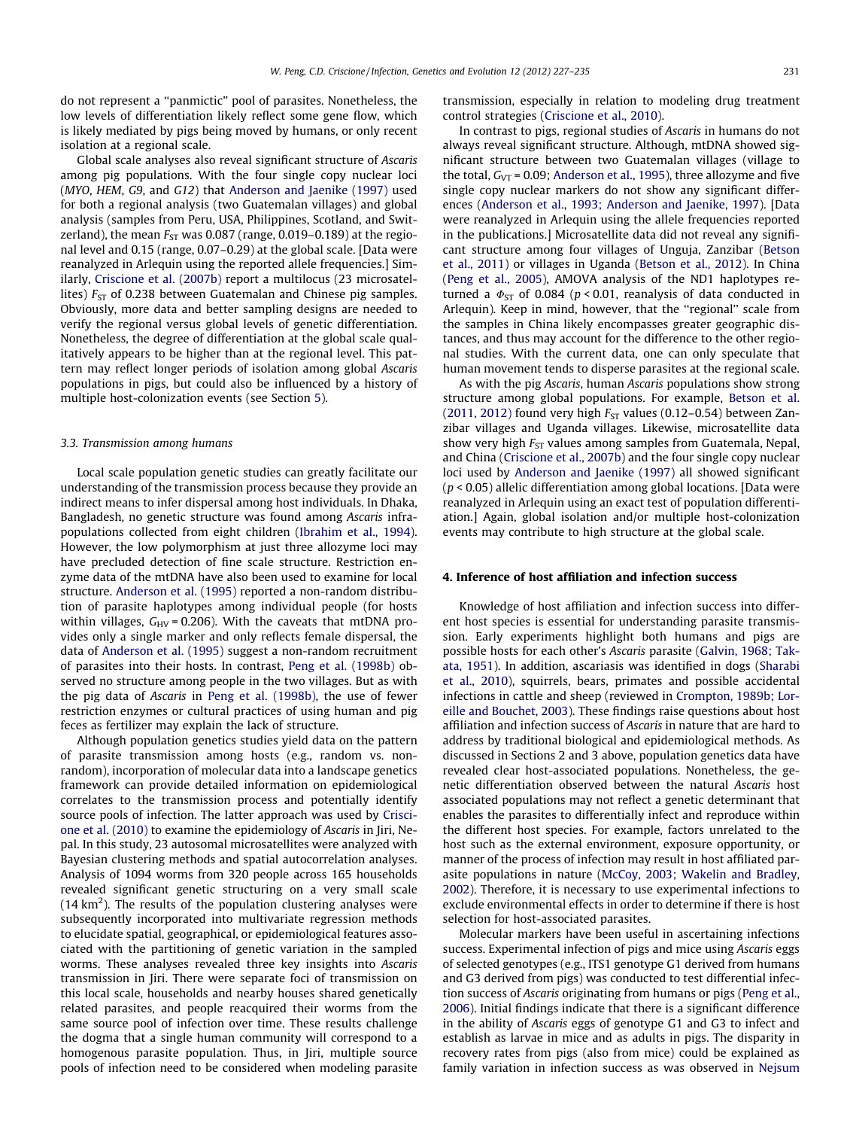<span id="page-4-0"></span>do not represent a ''panmictic'' pool of parasites. Nonetheless, the low levels of differentiation likely reflect some gene flow, which is likely mediated by pigs being moved by humans, or only recent isolation at a regional scale.

Global scale analyses also reveal significant structure of Ascaris among pig populations. With the four single copy nuclear loci (MYO, HEM, G9, and G12) that [Anderson and Jaenike \(1997\)](#page-6-0) used for both a regional analysis (two Guatemalan villages) and global analysis (samples from Peru, USA, Philippines, Scotland, and Switzerland), the mean  $F_{ST}$  was 0.087 (range, 0.019–0.189) at the regional level and 0.15 (range, 0.07–0.29) at the global scale. [Data were reanalyzed in Arlequin using the reported allele frequencies.] Similarly, [Criscione et al. \(2007b\)](#page-7-0) report a multilocus (23 microsatellites)  $F_{ST}$  of 0.238 between Guatemalan and Chinese pig samples. Obviously, more data and better sampling designs are needed to verify the regional versus global levels of genetic differentiation. Nonetheless, the degree of differentiation at the global scale qualitatively appears to be higher than at the regional level. This pattern may reflect longer periods of isolation among global Ascaris populations in pigs, but could also be influenced by a history of multiple host-colonization events (see Section [5\)](#page-5-0).

#### 3.3. Transmission among humans

Local scale population genetic studies can greatly facilitate our understanding of the transmission process because they provide an indirect means to infer dispersal among host individuals. In Dhaka, Bangladesh, no genetic structure was found among Ascaris infrapopulations collected from eight children ([Ibrahim et al., 1994\)](#page-7-0). However, the low polymorphism at just three allozyme loci may have precluded detection of fine scale structure. Restriction enzyme data of the mtDNA have also been used to examine for local structure. [Anderson et al. \(1995\)](#page-6-0) reported a non-random distribution of parasite haplotypes among individual people (for hosts within villages,  $G_{\text{HV}}$  = 0.206). With the caveats that mtDNA provides only a single marker and only reflects female dispersal, the data of [Anderson et al. \(1995\)](#page-6-0) suggest a non-random recruitment of parasites into their hosts. In contrast, [Peng et al. \(1998b\)](#page-8-0) observed no structure among people in the two villages. But as with the pig data of Ascaris in [Peng et al. \(1998b\)](#page-8-0), the use of fewer restriction enzymes or cultural practices of using human and pig feces as fertilizer may explain the lack of structure.

Although population genetics studies yield data on the pattern of parasite transmission among hosts (e.g., random vs. nonrandom), incorporation of molecular data into a landscape genetics framework can provide detailed information on epidemiological correlates to the transmission process and potentially identify source pools of infection. The latter approach was used by [Crisci](#page-7-0)[one et al. \(2010\)](#page-7-0) to examine the epidemiology of Ascaris in Jiri, Nepal. In this study, 23 autosomal microsatellites were analyzed with Bayesian clustering methods and spatial autocorrelation analyses. Analysis of 1094 worms from 320 people across 165 households revealed significant genetic structuring on a very small scale (14 km<sup>2</sup>). The results of the population clustering analyses were subsequently incorporated into multivariate regression methods to elucidate spatial, geographical, or epidemiological features associated with the partitioning of genetic variation in the sampled worms. These analyses revealed three key insights into Ascaris transmission in Jiri. There were separate foci of transmission on this local scale, households and nearby houses shared genetically related parasites, and people reacquired their worms from the same source pool of infection over time. These results challenge the dogma that a single human community will correspond to a homogenous parasite population. Thus, in Jiri, multiple source pools of infection need to be considered when modeling parasite transmission, especially in relation to modeling drug treatment control strategies [\(Criscione et al., 2010](#page-7-0)).

In contrast to pigs, regional studies of Ascaris in humans do not always reveal significant structure. Although, mtDNA showed significant structure between two Guatemalan villages (village to the total,  $G_{VT}$  = 0.09; [Anderson et al., 1995\)](#page-6-0), three allozyme and five single copy nuclear markers do not show any significant differences ([Anderson et al., 1993; Anderson and Jaenike, 1997](#page-6-0)). [Data were reanalyzed in Arlequin using the allele frequencies reported in the publications.] Microsatellite data did not reveal any significant structure among four villages of Unguja, Zanzibar [\(Betson](#page-6-0) [et al., 2011\)](#page-6-0) or villages in Uganda ([Betson et al., 2012](#page-7-0)). In China ([Peng et al., 2005](#page-8-0)), AMOVA analysis of the ND1 haplotypes returned a  $\Phi_{ST}$  of 0.084 (p < 0.01, reanalysis of data conducted in Arlequin). Keep in mind, however, that the "regional" scale from the samples in China likely encompasses greater geographic distances, and thus may account for the difference to the other regional studies. With the current data, one can only speculate that human movement tends to disperse parasites at the regional scale.

As with the pig Ascaris, human Ascaris populations show strong structure among global populations. For example, [Betson et al.](#page-6-0) [\(2011, 2012\)](#page-6-0) found very high  $F_{ST}$  values (0.12–0.54) between Zanzibar villages and Uganda villages. Likewise, microsatellite data show very high  $F_{ST}$  values among samples from Guatemala, Nepal, and China [\(Criscione et al., 2007b\)](#page-7-0) and the four single copy nuclear loci used by [Anderson and Jaenike \(1997\)](#page-6-0) all showed significant  $(p < 0.05)$  allelic differentiation among global locations. [Data were reanalyzed in Arlequin using an exact test of population differentiation.] Again, global isolation and/or multiple host-colonization events may contribute to high structure at the global scale.

#### 4. Inference of host affiliation and infection success

Knowledge of host affiliation and infection success into different host species is essential for understanding parasite transmission. Early experiments highlight both humans and pigs are possible hosts for each other's Ascaris parasite [\(Galvin, 1968; Tak](#page-7-0)[ata, 1951](#page-7-0)). In addition, ascariasis was identified in dogs [\(Sharabi](#page-8-0) [et al., 2010](#page-8-0)), squirrels, bears, primates and possible accidental infections in cattle and sheep (reviewed in [Crompton, 1989b; Lor](#page-7-0)[eille and Bouchet, 2003\)](#page-7-0). These findings raise questions about host affiliation and infection success of Ascaris in nature that are hard to address by traditional biological and epidemiological methods. As discussed in Sections 2 and 3 above, population genetics data have revealed clear host-associated populations. Nonetheless, the genetic differentiation observed between the natural Ascaris host associated populations may not reflect a genetic determinant that enables the parasites to differentially infect and reproduce within the different host species. For example, factors unrelated to the host such as the external environment, exposure opportunity, or manner of the process of infection may result in host affiliated parasite populations in nature [\(McCoy, 2003; Wakelin and Bradley,](#page-7-0) [2002](#page-7-0)). Therefore, it is necessary to use experimental infections to exclude environmental effects in order to determine if there is host selection for host-associated parasites.

Molecular markers have been useful in ascertaining infections success. Experimental infection of pigs and mice using Ascaris eggs of selected genotypes (e.g., ITS1 genotype G1 derived from humans and G3 derived from pigs) was conducted to test differential infection success of Ascaris originating from humans or pigs [\(Peng et al.,](#page-8-0) [2006](#page-8-0)). Initial findings indicate that there is a significant difference in the ability of Ascaris eggs of genotype G1 and G3 to infect and establish as larvae in mice and as adults in pigs. The disparity in recovery rates from pigs (also from mice) could be explained as family variation in infection success as was observed in [Nejsum](#page-7-0)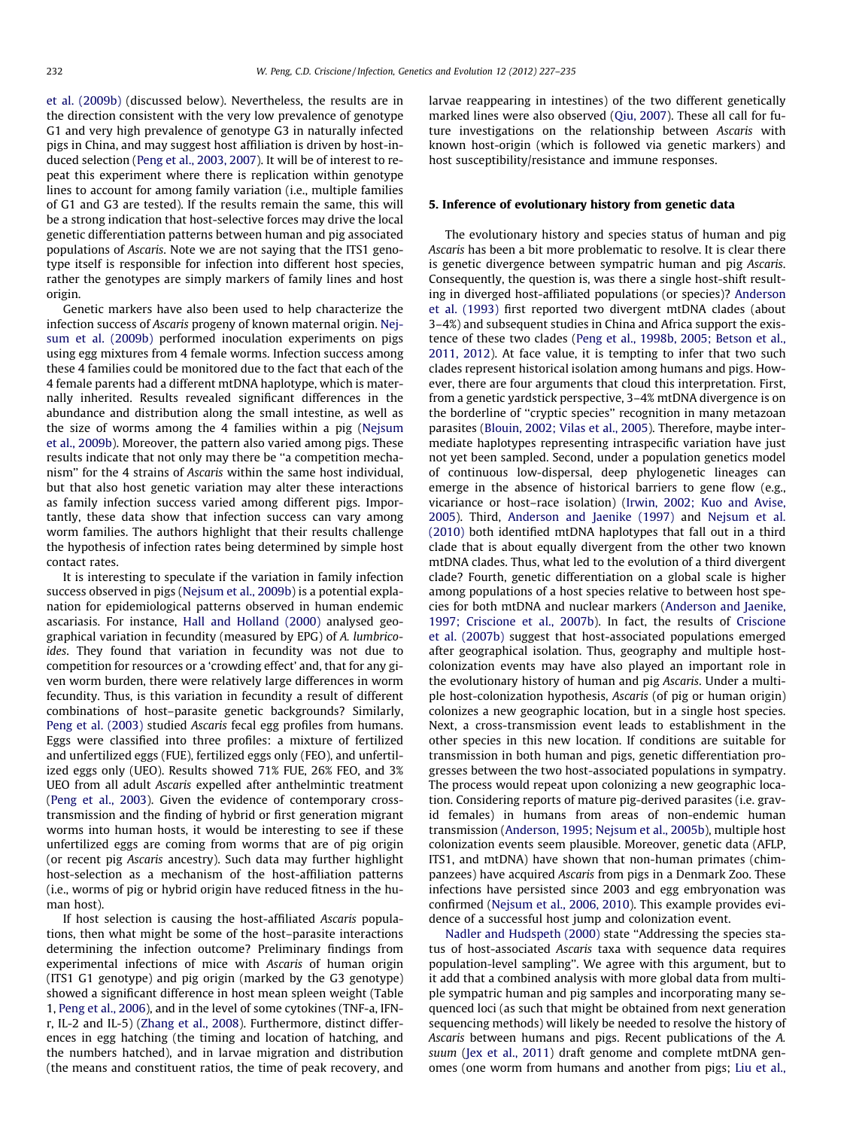<span id="page-5-0"></span>[et al. \(2009b\)](#page-7-0) (discussed below). Nevertheless, the results are in the direction consistent with the very low prevalence of genotype G1 and very high prevalence of genotype G3 in naturally infected pigs in China, and may suggest host affiliation is driven by host-induced selection [\(Peng et al., 2003, 2007](#page-8-0)). It will be of interest to repeat this experiment where there is replication within genotype lines to account for among family variation (i.e., multiple families of G1 and G3 are tested). If the results remain the same, this will be a strong indication that host-selective forces may drive the local genetic differentiation patterns between human and pig associated populations of Ascaris. Note we are not saying that the ITS1 genotype itself is responsible for infection into different host species, rather the genotypes are simply markers of family lines and host origin.

Genetic markers have also been used to help characterize the infection success of Ascaris progeny of known maternal origin. [Nej](#page-7-0)[sum et al. \(2009b\)](#page-7-0) performed inoculation experiments on pigs using egg mixtures from 4 female worms. Infection success among these 4 families could be monitored due to the fact that each of the 4 female parents had a different mtDNA haplotype, which is maternally inherited. Results revealed significant differences in the abundance and distribution along the small intestine, as well as the size of worms among the 4 families within a pig ([Nejsum](#page-7-0) [et al., 2009b\)](#page-7-0). Moreover, the pattern also varied among pigs. These results indicate that not only may there be ''a competition mechanism'' for the 4 strains of Ascaris within the same host individual, but that also host genetic variation may alter these interactions as family infection success varied among different pigs. Importantly, these data show that infection success can vary among worm families. The authors highlight that their results challenge the hypothesis of infection rates being determined by simple host contact rates.

It is interesting to speculate if the variation in family infection success observed in pigs ([Nejsum et al., 2009b\)](#page-7-0) is a potential explanation for epidemiological patterns observed in human endemic ascariasis. For instance, [Hall and Holland \(2000\)](#page-7-0) analysed geographical variation in fecundity (measured by EPG) of A. lumbricoides. They found that variation in fecundity was not due to competition for resources or a 'crowding effect' and, that for any given worm burden, there were relatively large differences in worm fecundity. Thus, is this variation in fecundity a result of different combinations of host–parasite genetic backgrounds? Similarly, [Peng et al. \(2003\)](#page-8-0) studied Ascaris fecal egg profiles from humans. Eggs were classified into three profiles: a mixture of fertilized and unfertilized eggs (FUE), fertilized eggs only (FEO), and unfertilized eggs only (UEO). Results showed 71% FUE, 26% FEO, and 3% UEO from all adult Ascaris expelled after anthelmintic treatment ([Peng et al., 2003](#page-8-0)). Given the evidence of contemporary crosstransmission and the finding of hybrid or first generation migrant worms into human hosts, it would be interesting to see if these unfertilized eggs are coming from worms that are of pig origin (or recent pig Ascaris ancestry). Such data may further highlight host-selection as a mechanism of the host-affiliation patterns (i.e., worms of pig or hybrid origin have reduced fitness in the human host).

If host selection is causing the host-affiliated Ascaris populations, then what might be some of the host–parasite interactions determining the infection outcome? Preliminary findings from experimental infections of mice with Ascaris of human origin (ITS1 G1 genotype) and pig origin (marked by the G3 genotype) showed a significant difference in host mean spleen weight (Table 1, [Peng et al., 2006](#page-8-0)), and in the level of some cytokines (TNF-a, IFNr, IL-2 and IL-5) [\(Zhang et al., 2008](#page-8-0)). Furthermore, distinct differences in egg hatching (the timing and location of hatching, and the numbers hatched), and in larvae migration and distribution (the means and constituent ratios, the time of peak recovery, and

larvae reappearing in intestines) of the two different genetically marked lines were also observed [\(Qiu, 2007](#page-8-0)). These all call for future investigations on the relationship between Ascaris with known host-origin (which is followed via genetic markers) and host susceptibility/resistance and immune responses.

#### 5. Inference of evolutionary history from genetic data

The evolutionary history and species status of human and pig Ascaris has been a bit more problematic to resolve. It is clear there is genetic divergence between sympatric human and pig Ascaris. Consequently, the question is, was there a single host-shift resulting in diverged host-affiliated populations (or species)? [Anderson](#page-6-0) [et al. \(1993\)](#page-6-0) first reported two divergent mtDNA clades (about 3–4%) and subsequent studies in China and Africa support the existence of these two clades [\(Peng et al., 1998b, 2005; Betson et al.,](#page-8-0) [2011, 2012\)](#page-8-0). At face value, it is tempting to infer that two such clades represent historical isolation among humans and pigs. However, there are four arguments that cloud this interpretation. First, from a genetic yardstick perspective, 3–4% mtDNA divergence is on the borderline of ''cryptic species'' recognition in many metazoan parasites ([Blouin, 2002; Vilas et al., 2005\)](#page-7-0). Therefore, maybe intermediate haplotypes representing intraspecific variation have just not yet been sampled. Second, under a population genetics model of continuous low-dispersal, deep phylogenetic lineages can emerge in the absence of historical barriers to gene flow (e.g., vicariance or host–race isolation) ([Irwin, 2002; Kuo and Avise,](#page-7-0) [2005\)](#page-7-0). Third, [Anderson and Jaenike \(1997\)](#page-6-0) and [Nejsum et al.](#page-7-0) [\(2010\)](#page-7-0) both identified mtDNA haplotypes that fall out in a third clade that is about equally divergent from the other two known mtDNA clades. Thus, what led to the evolution of a third divergent clade? Fourth, genetic differentiation on a global scale is higher among populations of a host species relative to between host species for both mtDNA and nuclear markers [\(Anderson and Jaenike,](#page-6-0) [1997; Criscione et al., 2007b\)](#page-6-0). In fact, the results of [Criscione](#page-7-0) [et al. \(2007b\)](#page-7-0) suggest that host-associated populations emerged after geographical isolation. Thus, geography and multiple hostcolonization events may have also played an important role in the evolutionary history of human and pig Ascaris. Under a multiple host-colonization hypothesis, Ascaris (of pig or human origin) colonizes a new geographic location, but in a single host species. Next, a cross-transmission event leads to establishment in the other species in this new location. If conditions are suitable for transmission in both human and pigs, genetic differentiation progresses between the two host-associated populations in sympatry. The process would repeat upon colonizing a new geographic location. Considering reports of mature pig-derived parasites (i.e. gravid females) in humans from areas of non-endemic human transmission [\(Anderson, 1995; Nejsum et al., 2005b\)](#page-6-0), multiple host colonization events seem plausible. Moreover, genetic data (AFLP, ITS1, and mtDNA) have shown that non-human primates (chimpanzees) have acquired Ascaris from pigs in a Denmark Zoo. These infections have persisted since 2003 and egg embryonation was confirmed ([Nejsum et al., 2006, 2010\)](#page-7-0). This example provides evidence of a successful host jump and colonization event.

[Nadler and Hudspeth \(2000\)](#page-7-0) state ''Addressing the species status of host-associated Ascaris taxa with sequence data requires population-level sampling''. We agree with this argument, but to it add that a combined analysis with more global data from multiple sympatric human and pig samples and incorporating many sequenced loci (as such that might be obtained from next generation sequencing methods) will likely be needed to resolve the history of Ascaris between humans and pigs. Recent publications of the A. suum [\(Jex et al., 2011\)](#page-7-0) draft genome and complete mtDNA genomes (one worm from humans and another from pigs; [Liu et al.,](#page-7-0)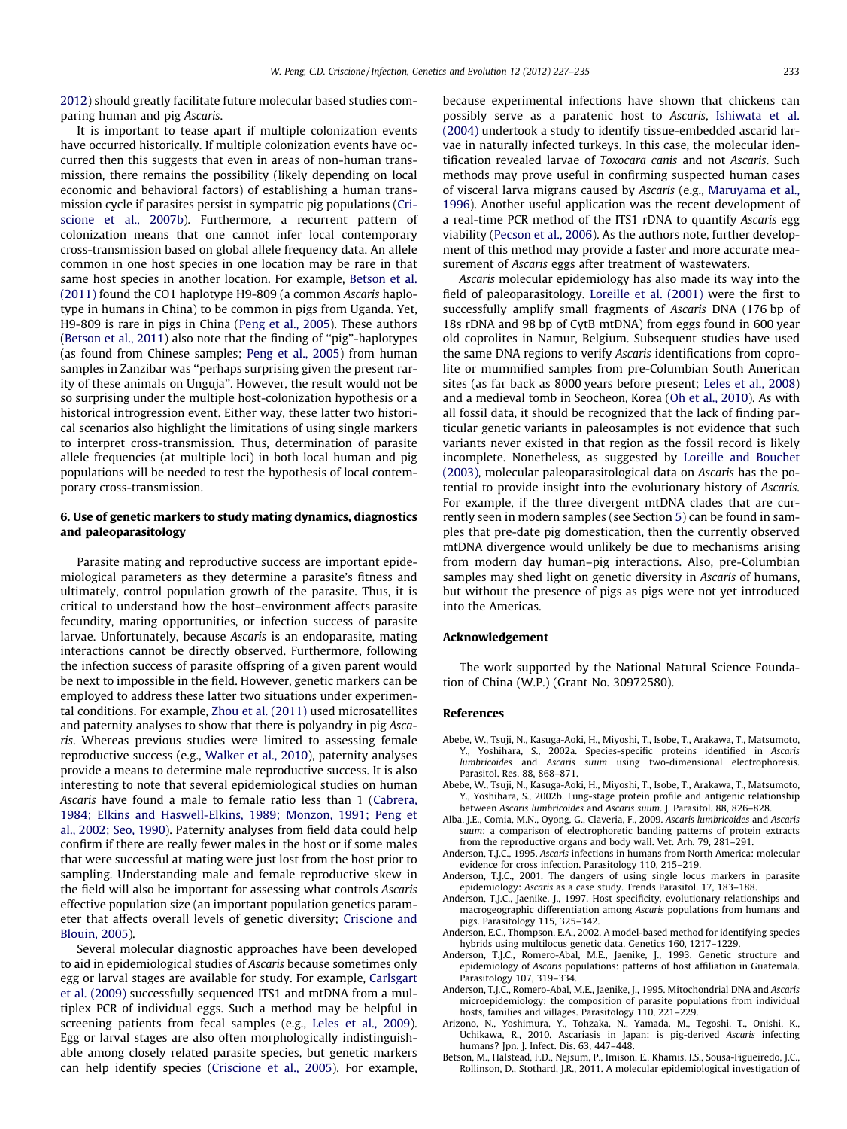<span id="page-6-0"></span>[2012\)](#page-7-0) should greatly facilitate future molecular based studies comparing human and pig Ascaris.

It is important to tease apart if multiple colonization events have occurred historically. If multiple colonization events have occurred then this suggests that even in areas of non-human transmission, there remains the possibility (likely depending on local economic and behavioral factors) of establishing a human transmission cycle if parasites persist in sympatric pig populations ([Cri](#page-7-0)[scione et al., 2007b](#page-7-0)). Furthermore, a recurrent pattern of colonization means that one cannot infer local contemporary cross-transmission based on global allele frequency data. An allele common in one host species in one location may be rare in that same host species in another location. For example, Betson et al. (2011) found the CO1 haplotype H9-809 (a common Ascaris haplotype in humans in China) to be common in pigs from Uganda. Yet, H9-809 is rare in pigs in China [\(Peng et al., 2005](#page-8-0)). These authors (Betson et al., 2011) also note that the finding of ''pig''-haplotypes (as found from Chinese samples; [Peng et al., 2005\)](#page-8-0) from human samples in Zanzibar was ''perhaps surprising given the present rarity of these animals on Unguja''. However, the result would not be so surprising under the multiple host-colonization hypothesis or a historical introgression event. Either way, these latter two historical scenarios also highlight the limitations of using single markers to interpret cross-transmission. Thus, determination of parasite allele frequencies (at multiple loci) in both local human and pig populations will be needed to test the hypothesis of local contemporary cross-transmission.

### 6. Use of genetic markers to study mating dynamics, diagnostics and paleoparasitology

Parasite mating and reproductive success are important epidemiological parameters as they determine a parasite's fitness and ultimately, control population growth of the parasite. Thus, it is critical to understand how the host–environment affects parasite fecundity, mating opportunities, or infection success of parasite larvae. Unfortunately, because Ascaris is an endoparasite, mating interactions cannot be directly observed. Furthermore, following the infection success of parasite offspring of a given parent would be next to impossible in the field. However, genetic markers can be employed to address these latter two situations under experimental conditions. For example, [Zhou et al. \(2011\)](#page-8-0) used microsatellites and paternity analyses to show that there is polyandry in pig Ascaris. Whereas previous studies were limited to assessing female reproductive success (e.g., [Walker et al., 2010\)](#page-8-0), paternity analyses provide a means to determine male reproductive success. It is also interesting to note that several epidemiological studies on human Ascaris have found a male to female ratio less than 1 ([Cabrera,](#page-7-0) [1984; Elkins and Haswell-Elkins, 1989; Monzon, 1991; Peng et](#page-7-0) [al., 2002; Seo, 1990](#page-7-0)). Paternity analyses from field data could help confirm if there are really fewer males in the host or if some males that were successful at mating were just lost from the host prior to sampling. Understanding male and female reproductive skew in the field will also be important for assessing what controls Ascaris effective population size (an important population genetics parameter that affects overall levels of genetic diversity; [Criscione and](#page-7-0) [Blouin, 2005](#page-7-0)).

Several molecular diagnostic approaches have been developed to aid in epidemiological studies of Ascaris because sometimes only egg or larval stages are available for study. For example, [Carlsgart](#page-7-0) [et al. \(2009\)](#page-7-0) successfully sequenced ITS1 and mtDNA from a multiplex PCR of individual eggs. Such a method may be helpful in screening patients from fecal samples (e.g., [Leles et al., 2009\)](#page-7-0). Egg or larval stages are also often morphologically indistinguishable among closely related parasite species, but genetic markers can help identify species [\(Criscione et al., 2005\)](#page-7-0). For example, because experimental infections have shown that chickens can possibly serve as a paratenic host to Ascaris, [Ishiwata et al.](#page-7-0) [\(2004\)](#page-7-0) undertook a study to identify tissue-embedded ascarid larvae in naturally infected turkeys. In this case, the molecular identification revealed larvae of Toxocara canis and not Ascaris. Such methods may prove useful in confirming suspected human cases of visceral larva migrans caused by Ascaris (e.g., [Maruyama et al.,](#page-7-0) [1996\)](#page-7-0). Another useful application was the recent development of a real-time PCR method of the ITS1 rDNA to quantify Ascaris egg viability ([Pecson et al., 2006\)](#page-7-0). As the authors note, further development of this method may provide a faster and more accurate measurement of Ascaris eggs after treatment of wastewaters.

Ascaris molecular epidemiology has also made its way into the field of paleoparasitology. [Loreille et al. \(2001\)](#page-7-0) were the first to successfully amplify small fragments of Ascaris DNA (176 bp of 18s rDNA and 98 bp of CytB mtDNA) from eggs found in 600 year old coprolites in Namur, Belgium. Subsequent studies have used the same DNA regions to verify Ascaris identifications from coprolite or mummified samples from pre-Columbian South American sites (as far back as 8000 years before present; [Leles et al., 2008\)](#page-7-0) and a medieval tomb in Seocheon, Korea [\(Oh et al., 2010](#page-7-0)). As with all fossil data, it should be recognized that the lack of finding particular genetic variants in paleosamples is not evidence that such variants never existed in that region as the fossil record is likely incomplete. Nonetheless, as suggested by [Loreille and Bouchet](#page-7-0) [\(2003\)](#page-7-0), molecular paleoparasitological data on Ascaris has the potential to provide insight into the evolutionary history of Ascaris. For example, if the three divergent mtDNA clades that are currently seen in modern samples (see Section [5\)](#page-5-0) can be found in samples that pre-date pig domestication, then the currently observed mtDNA divergence would unlikely be due to mechanisms arising from modern day human–pig interactions. Also, pre-Columbian samples may shed light on genetic diversity in Ascaris of humans, but without the presence of pigs as pigs were not yet introduced into the Americas.

#### Acknowledgement

The work supported by the National Natural Science Foundation of China (W.P.) (Grant No. 30972580).

#### References

- Abebe, W., Tsuji, N., Kasuga-Aoki, H., Miyoshi, T., Isobe, T., Arakawa, T., Matsumoto, Y., Yoshihara, S., 2002a. Species-specific proteins identified in Ascaris lumbricoides and Ascaris suum using two-dimensional electrophoresis. Parasitol. Res. 88, 868–871.
- Abebe, W., Tsuji, N., Kasuga-Aoki, H., Miyoshi, T., Isobe, T., Arakawa, T., Matsumoto, Y., Yoshihara, S., 2002b. Lung-stage protein profile and antigenic relationship between Ascaris lumbricoides and Ascaris suum. J. Parasitol. 88, 826–828.
- Alba, J.E., Comia, M.N., Oyong, G., Claveria, F., 2009. Ascaris lumbricoides and Ascaris suum: a comparison of electrophoretic banding patterns of protein extracts from the reproductive organs and body wall. Vet. Arh. 79, 281–291.
- Anderson, T.J.C., 1995. Ascaris infections in humans from North America: molecular evidence for cross infection. Parasitology 110, 215–219.
- Anderson, T.J.C., 2001. The dangers of using single locus markers in parasite epidemiology: Ascaris as a case study. Trends Parasitol. 17, 183–188.
- Anderson, T.J.C., Jaenike, J., 1997. Host specificity, evolutionary relationships and macrogeographic differentiation among Ascaris populations from humans and pigs. Parasitology 115, 325–342.
- Anderson, E.C., Thompson, E.A., 2002. A model-based method for identifying species hybrids using multilocus genetic data. Genetics 160, 1217–1229.
- Anderson, T.J.C., Romero-Abal, M.E., Jaenike, J., 1993. Genetic structure and epidemiology of Ascaris populations: patterns of host affiliation in Guatemala. Parasitology 107, 319–334.
- Anderson, T.J.C., Romero-Abal, M.E., Jaenike, J., 1995. Mitochondrial DNA and Ascaris microepidemiology: the composition of parasite populations from individual hosts, families and villages. Parasitology 110, 221–229.
- Arizono, N., Yoshimura, Y., Tohzaka, N., Yamada, M., Tegoshi, T., Onishi, K., Uchikawa, R., 2010. Ascariasis in Japan: is pig-derived Ascaris infecting humans? Jpn. J. Infect. Dis. 63, 447–448.
- Betson, M., Halstead, F.D., Nejsum, P., Imison, E., Khamis, I.S., Sousa-Figueiredo, J.C., Rollinson, D., Stothard, J.R., 2011. A molecular epidemiological investigation of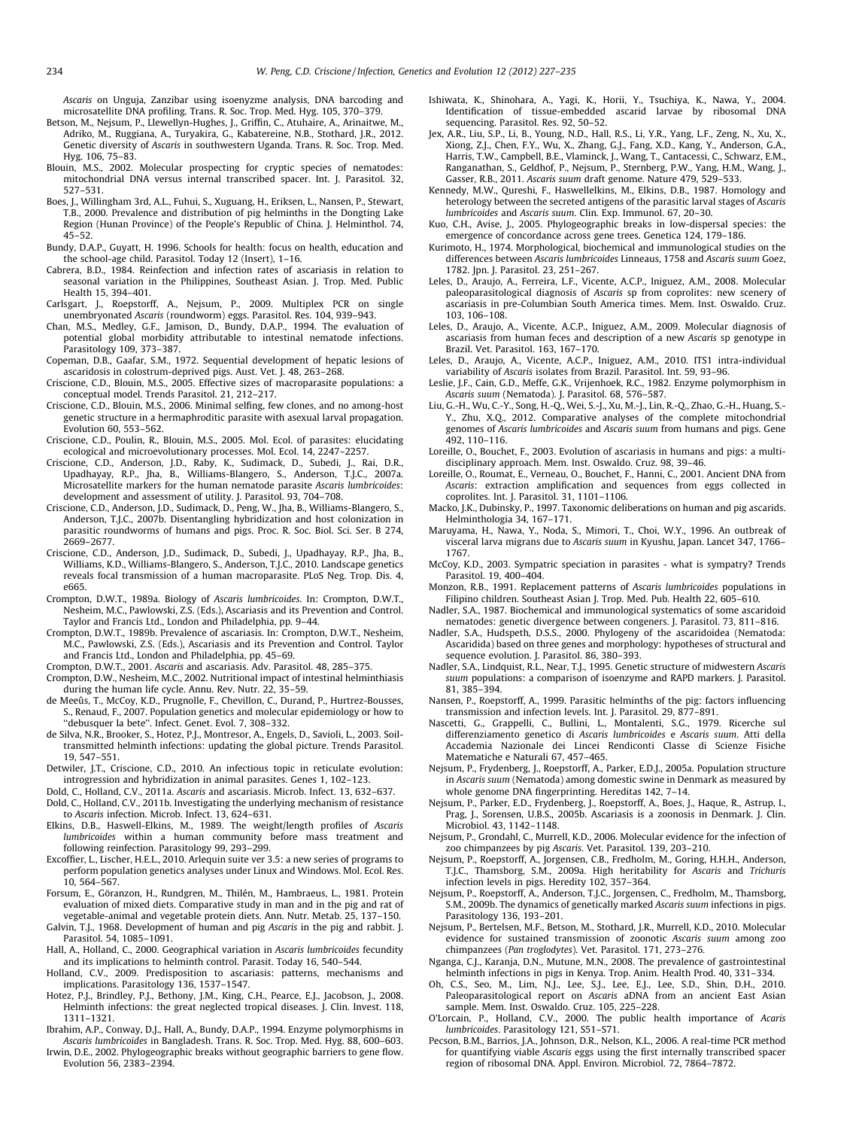<span id="page-7-0"></span>Ascaris on Unguja, Zanzibar using isoenyzme analysis, DNA barcoding and microsatellite DNA profiling. Trans. R. Soc. Trop. Med. Hyg. 105, 370–379.

- Betson, M., Nejsum, P., Llewellyn-Hughes, J., Griffin, C., Atuhaire, A., Arinaitwe, M., Adriko, M., Ruggiana, A., Turyakira, G., Kabatereine, N.B., Stothard, J.R., 2012. Genetic diversity of Ascaris in southwestern Uganda. Trans. R. Soc. Trop. Med. Hyg. 106, 75–83.
- Blouin, M.S., 2002. Molecular prospecting for cryptic species of nematodes: mitochondrial DNA versus internal transcribed spacer. Int. J. Parasitol. 32, 527–531.
- Boes, J., Willingham 3rd, A.L., Fuhui, S., Xuguang, H., Eriksen, L., Nansen, P., Stewart, T.B., 2000. Prevalence and distribution of pig helminths in the Dongting Lake Region (Hunan Province) of the People's Republic of China. J. Helminthol. 74, 45–52.
- Bundy, D.A.P., Guyatt, H. 1996. Schools for health: focus on health, education and the school-age child. Parasitol. Today 12 (Insert), 1–16.
- Cabrera, B.D., 1984. Reinfection and infection rates of ascariasis in relation to seasonal variation in the Philippines, Southeast Asian. J. Trop. Med. Public Health 15, 394–401.
- Carlsgart, J., Roepstorff, A., Nejsum, P., 2009. Multiplex PCR on single unembryonated Ascaris (roundworm) eggs. Parasitol. Res. 104, 939–943.
- Chan, M.S., Medley, G.F., Jamison, D., Bundy, D.A.P., 1994. The evaluation of potential global morbidity attributable to intestinal nematode infections. Parasitology 109, 373–387.
- Copeman, D.B., Gaafar, S.M., 1972. Sequential development of hepatic lesions of ascaridosis in colostrum-deprived pigs. Aust. Vet. J. 48, 263–268.
- Criscione, C.D., Blouin, M.S., 2005. Effective sizes of macroparasite populations: a conceptual model. Trends Parasitol. 21, 212–217.
- Criscione, C.D., Blouin, M.S., 2006. Minimal selfing, few clones, and no among-host genetic structure in a hermaphroditic parasite with asexual larval propagation. Evolution 60, 553–562.
- Criscione, C.D., Poulin, R., Blouin, M.S., 2005. Mol. Ecol. of parasites: elucidating ecological and microevolutionary processes. Mol. Ecol. 14, 2247–2257.
- Criscione, C.D., Anderson, J.D., Raby, K., Sudimack, D., Subedi, J., Rai, D.R., Upadhayay, R.P., Jha, B., Williams-Blangero, S., Anderson, T.J.C., 2007a. Microsatellite markers for the human nematode parasite Ascaris lumbricoides: development and assessment of utility. J. Parasitol. 93, 704–708.
- Criscione, C.D., Anderson, J.D., Sudimack, D., Peng, W., Jha, B., Williams-Blangero, S., Anderson, T.J.C., 2007b. Disentangling hybridization and host colonization in parasitic roundworms of humans and pigs. Proc. R. Soc. Biol. Sci. Ser. B 274, 2669–2677.
- Criscione, C.D., Anderson, J.D., Sudimack, D., Subedi, J., Upadhayay, R.P., Jha, B., Williams, K.D., Williams-Blangero, S., Anderson, T.J.C., 2010. Landscape genetics reveals focal transmission of a human macroparasite. PLoS Neg. Trop. Dis. 4, e665.
- Crompton, D.W.T., 1989a. Biology of Ascaris lumbricoides. In: Crompton, D.W.T., Nesheim, M.C., Pawlowski, Z.S. (Eds.), Ascariasis and its Prevention and Control. Taylor and Francis Ltd., London and Philadelphia, pp. 9–44.
- Crompton, D.W.T., 1989b. Prevalence of ascariasis. In: Crompton, D.W.T., Nesheim, M.C., Pawlowski, Z.S. (Eds.), Ascariasis and its Prevention and Control. Taylor and Francis Ltd., London and Philadelphia, pp. 45–69.
- Crompton, D.W.T., 2001. Ascaris and ascariasis. Adv. Parasitol. 48, 285–375.
- Crompton, D.W., Nesheim, M.C., 2002. Nutritional impact of intestinal helminthiasis during the human life cycle. Annu. Rev. Nutr. 22, 35–59.
- de Meeûs, T., McCoy, K.D., Prugnolle, F., Chevillon, C., Durand, P., Hurtrez-Bousses, S., Renaud, F., 2007. Population genetics and molecular epidemiology or how to
- ''debusquer la bete''. Infect. Genet. Evol. 7, 308–332. de Silva, N.R., Brooker, S., Hotez, P.J., Montresor, A., Engels, D., Savioli, L., 2003. Soiltransmitted helminth infections: updating the global picture. Trends Parasitol. 19, 547–551.
- Detwiler, J.T., Criscione, C.D., 2010. An infectious topic in reticulate evolution: introgression and hybridization in animal parasites. Genes 1, 102–123.
- 
- Dold, C., Holland, C.V., 2011a. Ascaris and ascariasis. Microb. Infect. 13, 632–637. Dold, C., Holland, C.V., 2011b. Investigating the underlying mechanism of resistance to Ascaris infection. Microb. Infect. 13, 624–631.
- Elkins, D.B., Haswell-Elkins, M., 1989. The weight/length profiles of Ascaris lumbricoides within a human community before mass treatment and following reinfection. Parasitology 99, 293–299.
- Excoffier, L., Lischer, H.E.L., 2010. Arlequin suite ver 3.5: a new series of programs to perform population genetics analyses under Linux and Windows. Mol. Ecol. Res. 10, 564–567.
- Forsum, E., Göranzon, H., Rundgren, M., Thilén, M., Hambraeus, L., 1981. Protein evaluation of mixed diets. Comparative study in man and in the pig and rat of vegetable-animal and vegetable protein diets. Ann. Nutr. Metab. 25, 137–150.
- Galvin, T.J., 1968. Development of human and pig Ascaris in the pig and rabbit. J. Parasitol. 54, 1085–1091.
- Hall, A., Holland, C., 2000. Geographical variation in Ascaris lumbricoides fecundity and its implications to helminth control. Parasit. Today 16, 540–544.
- Holland, C.V., 2009. Predisposition to ascariasis: patterns, mechanisms and implications. Parasitology 136, 1537–1547.
- Hotez, P.J., Brindley, P.J., Bethony, J.M., King, C.H., Pearce, E.J., Jacobson, J., 2008. Helminth infections: the great neglected tropical diseases. J. Clin. Invest. 118, 1311–1321.
- Ibrahim, A.P., Conway, D.J., Hall, A., Bundy, D.A.P., 1994. Enzyme polymorphisms in Ascaris lumbricoides in Bangladesh. Trans. R. Soc. Trop. Med. Hyg. 88, 600–603.
- Irwin, D.E., 2002. Phylogeographic breaks without geographic barriers to gene flow. Evolution 56, 2383–2394.
- Ishiwata, K., Shinohara, A., Yagi, K., Horii, Y., Tsuchiya, K., Nawa, Y., 2004. Identification of tissue-embedded ascarid larvae by ribosomal DNA sequencing. Parasitol. Res. 92, 50–52.
- Jex, A.R., Liu, S.P., Li, B., Young, N.D., Hall, R.S., Li, Y.R., Yang, L.F., Zeng, N., Xu, X., Xiong, Z.J., Chen, F.Y., Wu, X., Zhang, G.J., Fang, X.D., Kang, Y., Anderson, G.A., Harris, T.W., Campbell, B.E., Vlaminck, J., Wang, T., Cantacessi, C., Schwarz, E.M., Ranganathan, S., Geldhof, P., Nejsum, P., Sternberg, P.W., Yang, H.M., Wang, J., Gasser, R.B., 2011. Ascaris suum draft genome. Nature 479, 529–533.
- Kennedy, M.W., Qureshi, F., Haswellelkins, M., Elkins, D.B., 1987. Homology and heterology between the secreted antigens of the parasitic larval stages of Ascaris lumbricoides and Ascaris suum. Clin. Exp. Immunol. 67, 20–30.
- Kuo, C.H., Avise, J., 2005. Phylogeographic breaks in low-dispersal species: the emergence of concordance across gene trees. Genetica 124, 179–186.
- Kurimoto, H., 1974. Morphological, biochemical and immunological studies on the differences between Ascaris lumbricoides Linneaus, 1758 and Ascaris suum Goez, 1782. Jpn. J. Parasitol. 23, 251–267.
- Leles, D., Araujo, A., Ferreira, L.F., Vicente, A.C.P., Iniguez, A.M., 2008. Molecular paleoparasitological diagnosis of Ascaris sp from coprolites: new scenery of ascariasis in pre-Columbian South America times. Mem. Inst. Oswaldo. Cruz. 103, 106–108.
- Leles, D., Araujo, A., Vicente, A.C.P., Iniguez, A.M., 2009. Molecular diagnosis of ascariasis from human feces and description of a new Ascaris sp genotype in Brazil. Vet. Parasitol. 163, 167–170.
- Leles, D., Araujo, A., Vicente, A.C.P., Iniguez, A.M., 2010. ITS1 intra-individual variability of Ascaris isolates from Brazil. Parasitol. Int. 59, 93–96.
- Leslie, J.F., Cain, G.D., Meffe, G.K., Vrijenhoek, R.C., 1982. Enzyme polymorphism in Ascaris suum (Nematoda). J. Parasitol. 68, 576–587.
- Liu, G.-H., Wu, C.-Y., Song, H.-Q., Wei, S.-J., Xu, M.-J., Lin, R.-Q., Zhao, G.-H., Huang, S.- Y., Zhu, X.Q., 2012. Comparative analyses of the complete mitochondrial genomes of Ascaris lumbricoides and Ascaris suum from humans and pigs. Gene 492, 110–116.
- Loreille, O., Bouchet, F., 2003. Evolution of ascariasis in humans and pigs: a multidisciplinary approach. Mem. Inst. Oswaldo. Cruz. 98, 39–46.
- Loreille, O., Roumat, E., Verneau, O., Bouchet, F., Hanni, C., 2001. Ancient DNA from Ascaris: extraction amplification and sequences from eggs collected in coprolites. Int. J. Parasitol. 31, 1101–1106.
- Macko, J.K., Dubinsky, P., 1997. Taxonomic deliberations on human and pig ascarids. Helminthologia 34, 167–171.
- Maruyama, H., Nawa, Y., Noda, S., Mimori, T., Choi, W.Y., 1996. An outbreak of visceral larva migrans due to Ascaris suum in Kyushu, Japan. Lancet 347, 1766– 1767.
- McCoy, K.D., 2003. Sympatric speciation in parasites what is sympatry? Trends Parasitol. 19, 400–404.
- Monzon, R.B., 1991. Replacement patterns of Ascaris lumbricoides populations in Filipino children. Southeast Asian J. Trop. Med. Pub. Health 22, 605–610.
- Nadler, S.A., 1987. Biochemical and immunological systematics of some ascaridoid nematodes: genetic divergence between congeners. J. Parasitol. 73, 811–816.
- Nadler, S.A., Hudspeth, D.S.S., 2000. Phylogeny of the ascaridoidea (Nematoda: Ascaridida) based on three genes and morphology: hypotheses of structural and sequence evolution. J. Parasitol. 86, 380–393.
- Nadler, S.A., Lindquist, R.L., Near, T.J., 1995. Genetic structure of midwestern Ascaris suum populations: a comparison of isoenzyme and RAPD markers. J. Parasitol. 81, 385–394.
- Nansen, P., Roepstorff, A., 1999. Parasitic helminths of the pig: factors influencing transmission and infection levels. Int. J. Parasitol. 29, 877–891.
- Nascetti, G., Grappelli, C., Bullini, L., Montalenti, S.G., 1979. Ricerche sul differenziamento genetico di Ascaris lumbricoides e Ascaris suum. Atti della Accademia Nazionale dei Lincei Rendiconti Classe di Scienze Fisiche Matematiche e Naturali 67, 457–465.
- Nejsum, P., Frydenberg, J., Roepstorff, A., Parker, E.D.J., 2005a. Population structure in Ascaris suum (Nematoda) among domestic swine in Denmark as measured by whole genome DNA fingerprinting. Hereditas 142, 7–14.
- Nejsum, P., Parker, E.D., Frydenberg, J., Roepstorff, A., Boes, J., Haque, R., Astrup, I., Prag, J., Sorensen, U.B.S., 2005b. Ascariasis is a zoonosis in Denmark. J. Clin. Microbiol. 43, 1142–1148.
- Nejsum, P., Grondahl, C., Murrell, K.D., 2006. Molecular evidence for the infection of zoo chimpanzees by pig Ascaris. Vet. Parasitol. 139, 203–210.
- Nejsum, P., Roepstorff, A., Jorgensen, C.B., Fredholm, M., Goring, H.H.H., Anderson, T.J.C., Thamsborg, S.M., 2009a. High heritability for Ascaris and Trichuris
- infection levels in pigs. Heredity 102, 357–364. Nejsum, P., Roepstorff, A., Anderson, T.J.C., Jorgensen, C., Fredholm, M., Thamsborg, S.M., 2009b. The dynamics of genetically marked Ascaris suum infections in pigs. Parasitology 136, 193–201.
- Nejsum, P., Bertelsen, M.F., Betson, M., Stothard, J.R., Murrell, K.D., 2010. Molecular evidence for sustained transmission of zoonotic Ascaris suum among zoo chimpanzees (Pan troglodytes). Vet. Parasitol. 171, 273–276.
- Nganga, C.J., Karanja, D.N., Mutune, M.N., 2008. The prevalence of gastrointestinal helminth infections in pigs in Kenya. Trop. Anim. Health Prod. 40, 331–334.
- Oh, C.S., Seo, M., Lim, N.J., Lee, S.J., Lee, E.J., Lee, S.D., Shin, D.H., 2010. Paleoparasitological report on Ascaris aDNA from an ancient East Asian sample. Mem. Inst. Oswaldo. Cruz. 105, 225–228.
- O'Lorcain, P., Holland, C.V., 2000. The public health importance of Acaris lumbricoides. Parasitology 121, S51–S71.
- Pecson, B.M., Barrios, J.A., Johnson, D.R., Nelson, K.L., 2006. A real-time PCR method for quantifying viable Ascaris eggs using the first internally transcribed spacer region of ribosomal DNA. Appl. Environ. Microbiol. 72, 7864–7872.